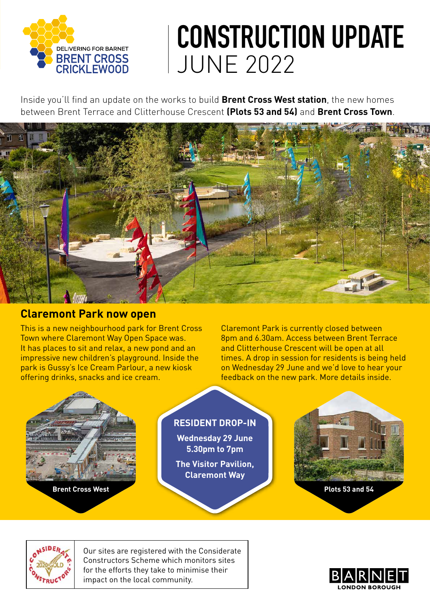

# **CONSTRUCTION UPDATE** JUNE 2022

Inside you'll find an update on the works to build **Brent Cross West station**, the new homes between Brent Terrace and Clitterhouse Crescent **(Plots 53 and 54)** and **Brent Cross Town**.



### **Claremont Park now open**

This is a new neighbourhood park for Brent Cross Town where Claremont Way Open Space was. It has places to sit and relax, a new pond and an impressive new children's playground. Inside the park is Gussy's Ice Cream Parlour, a new kiosk offering drinks, snacks and ice cream.

Claremont Park is currently closed between 8pm and 6.30am. Access between Brent Terrace and Clitterhouse Crescent will be open at all times. A drop in session for residents is being held on Wednesday 29 June and we'd love to hear your feedback on the new park. More details inside.





Our sites are registered with the Considerate Constructors Scheme which monitors sites for the efforts they take to minimise their impact on the local community.

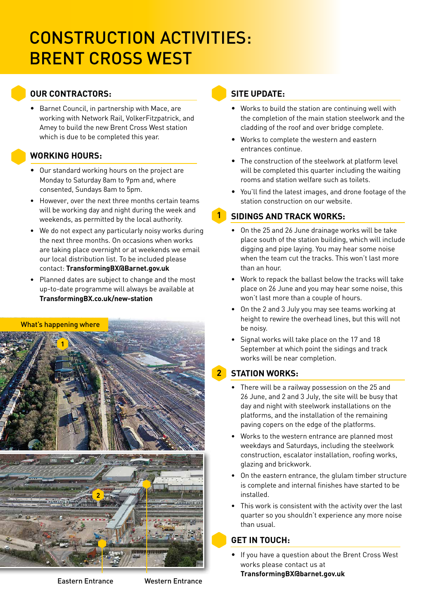## CONSTRUCTION ACTIVITIES: BRENT CROSS WEST

#### **OUR CONTRACTORS:**

• Barnet Council, in partnership with Mace, are working with Network Rail, VolkerFitzpatrick, and Amey to build the new Brent Cross West station which is due to be completed this year.

#### **WORKING HOURS:**

- Our standard working hours on the project are Monday to Saturday 8am to 9pm and, where consented, Sundays 8am to 5pm.
- However, over the next three months certain teams will be working day and night during the week and weekends, as permitted by the local authority.
- We do not expect any particularly noisy works during the next three months. On occasions when works are taking place overnight or at weekends we email our local distribution list. To be included please contact: **TransformingBX@Barnet.gov.uk**
- Planned dates are subject to change and the most up-to-date programme will always be available at **[TransformingBX.co.uk/new-station](http://TransformingBX.co.uk/new-station )**

#### What's happening where



#### **SITE UPDATE:**

**1**

- Works to build the station are continuing well with the completion of the main station steelwork and the cladding of the roof and over bridge complete.
- Works to complete the western and eastern entrances continue.
- The construction of the steelwork at platform level will be completed this quarter including the waiting rooms and station welfare such as toilets.
- You'll find the latest images, and drone footage of the station construction on our website.

#### **SIDINGS AND TRACK WORKS:**

- On the 25 and 26 June drainage works will be take place south of the station building, which will include digging and pipe laying. You may hear some noise when the team cut the tracks. This won't last more than an hour.
- Work to repack the ballast below the tracks will take place on 26 June and you may hear some noise, this won't last more than a couple of hours.
- On the 2 and 3 July you may see teams working at height to rewire the overhead lines, but this will not be noisy.
- Signal works will take place on the 17 and 18 September at which point the sidings and track works will be near completion.

#### **STATION WORKS: 2**

- There will be a railway possession on the 25 and 26 June, and 2 and 3 July, the site will be busy that day and night with steelwork installations on the platforms, and the installation of the remaining paving copers on the edge of the platforms.
- Works to the western entrance are planned most weekdays and Saturdays, including the steelwork construction, escalator installation, roofing works, glazing and brickwork.
- On the eastern entrance, the glulam timber structure is complete and internal finishes have started to be installed.
- This work is consistent with the activity over the last quarter so you shouldn't experience any more noise than usual.

#### **GET IN TOUCH:**

• If you have a question about the Brent Cross West works please contact us at **TransformingBX@barnet.gov.uk**

Eastern Entrance Western Entrance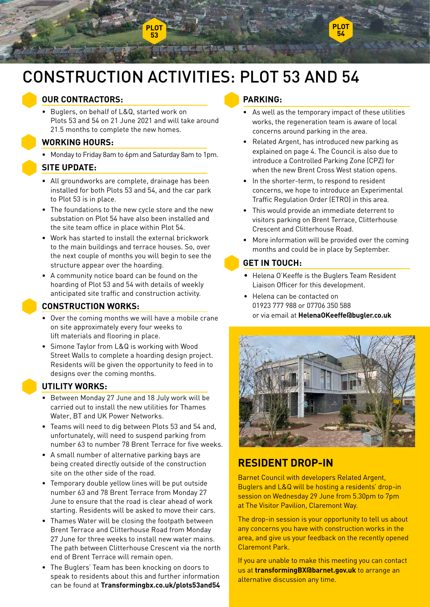

### CONSTRUCTION ACTIVITIES: PLOT 53 AND 54

#### **OUR CONTRACTORS:**

• Buglers, on behalf of L&Q, started work on Plots 53 and 54 on 21 June 2021 and will take around 21.5 months to complete the new homes.

#### **WORKING HOURS:**

• Monday to Friday 8am to 6pm and Saturday 8am to 1pm.

#### **SITE UPDATE:**

- All groundworks are complete, drainage has been installed for both Plots 53 and 54, and the car park to Plot 53 is in place.
- The foundations to the new cycle store and the new substation on Plot 54 have also been installed and the site team office in place within Plot 54.
- Work has started to install the external brickwork to the main buildings and terrace houses. So, over the next couple of months you will begin to see the structure appear over the hoarding.
- A community notice board can be found on the hoarding of Plot 53 and 54 with details of weekly anticipated site traffic and construction activity.

#### **CONSTRUCTION WORKS:**

- Over the coming months we will have a mobile crane on site approximately every four weeks to lift materials and flooring in place.
- Simone Taylor from L&Q is working with Wood Street Walls to complete a hoarding design project. Residents will be given the opportunity to feed in to designs over the coming months.

#### **UTILITY WORKS:**

- Between Monday 27 June and 18 July work will be carried out to install the new utilities for Thames Water, BT and UK Power Networks.
- Teams will need to dig between Plots 53 and 54 and, unfortunately, will need to suspend parking from number 63 to number 78 Brent Terrace for five weeks.
- A small number of alternative parking bays are being created directly outside of the construction site on the other side of the road.
- Temporary double yellow lines will be put outside number 63 and 78 Brent Terrace from Monday 27 June to ensure that the road is clear ahead of work starting. Residents will be asked to move their cars.
- Thames Water will be closing the footpath between Brent Terrace and Clitterhouse Road from Monday 27 June for three weeks to install new water mains. The path between Clitterhouse Crescent via the north end of Brent Terrace will remain open.
- The Buglers' Team has been knocking on doors to speak to residents about this and further information can be found at **[Transformingbx.co.uk/plots53and54](https://transformingbx.co.uk/transformation/relocated-homes/plots-53-54/)**

#### **PARKING:**

- As well as the temporary impact of these utilities works, the regeneration team is aware of local concerns around parking in the area.
- Related Argent, has introduced new parking as explained on page 4. The Council is also due to introduce a Controlled Parking Zone (CPZ) for when the new Brent Cross West station opens.
- In the shorter-term, to respond to resident concerns, we hope to introduce an Experimental Traffic Regulation Order (ETRO) in this area.
- This would provide an immediate deterrent to visitors parking on Brent Terrace, Clitterhouse Crescent and Clitterhouse Road.
- More information will be provided over the coming months and could be in place by September.

#### **GET IN TOUCH:**

- Helena O'Keeffe is the Buglers Team Resident Liaison Officer for this development.
- Helena can be contacted on 01923 777 988 or 07706 350 588 or via email at **[HelenaOKeeffe@bugler.co.uk](mailto:HelenaOKeeffe%40bugler.co.uk?subject=)**



#### **RESIDENT DROP-IN**

Barnet Council with developers Related Argent, Buglers and L&Q will be hosting a residents' drop-in session on Wednesday 29 June from 5.30pm to 7pm at The Visitor Pavilion, Claremont Way.

The drop-in session is your opportunity to tell us about any concerns you have with construction works in the area, and give us your feedback on the recently opened Claremont Park.

If you are unable to make this meeting you can contact us at **transformingBX@barnet.gov.uk** to arrange an alternative discussion any time.